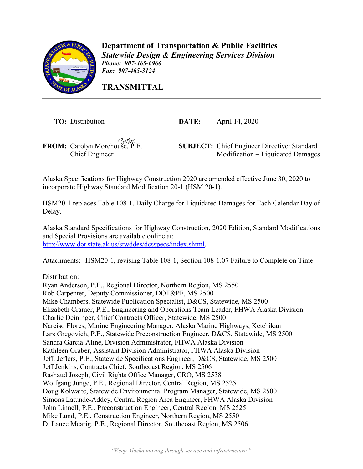

**Department of Transportation & Public Facilities** *Statewide Design & Engineering Services Division Phone: 907-465-6966 Fax: 907-465-3124* 

**TRANSMITTAL**

**TO:** Distribution **DATE:** April 14, 2020

**FROM:** Carolyn Morehouse, P.E. **SUBJECT:** Chief Engineer Directive: Standard Chief Engineer Modification – Liquidated Damages Modification – Liquidated Damages

Alaska Specifications for Highway Construction 2020 are amended effective June 30, 2020 to incorporate Highway Standard Modification 20-1 (HSM 20-1).

HSM20-1 replaces Table 108-1, Daily Charge for Liquidated Damages for Each Calendar Day of Delay.

Alaska Standard Specifications for Highway Construction, 2020 Edition, Standard Modifications and Special Provisions are available online at: [http://www.dot.state.ak.us/stwddes/dcsspecs/index.shtml.](http://www.dot.state.ak.us/stwddes/dcsspecs/index.shtml)

Attachments: HSM20-1, revising Table 108-1, Section 108-1.07 Failure to Complete on Time

Distribution:

Ryan Anderson, P.E., Regional Director, Northern Region, MS 2550 Rob Carpenter, Deputy Commissioner, DOT&PF, MS 2500 Mike Chambers, Statewide Publication Specialist, D&CS, Statewide, MS 2500 Elizabeth Cramer, P.E., Engineering and Operations Team Leader, FHWA Alaska Division Charlie Deininger, Chief Contracts Officer, Statewide, MS 2500 Narciso Flores, Marine Engineering Manager, Alaska Marine Highways, Ketchikan Lars Gregovich, P.E., Statewide Preconstruction Engineer, D&CS, Statewide, MS 2500 Sandra Garcia-Aline, Division Administrator, FHWA Alaska Division Kathleen Graber, Assistant Division Administrator, FHWA Alaska Division Jeff. Jeffers, P.E., Statewide Specifications Engineer, D&CS, Statewide, MS 2500 Jeff Jenkins, Contracts Chief, Southcoast Region, MS 2506 Rashaud Joseph, Civil Rights Office Manager, CRO, MS 2538 Wolfgang Junge, P.E., Regional Director, Central Region, MS 2525 Doug Kolwaite, Statewide Environmental Program Manager, Statewide, MS 2500 Simons Latunde-Addey, Central Region Area Engineer, FHWA Alaska Division John Linnell, P.E., Preconstruction Engineer, Central Region, MS 2525 Mike Lund, P.E., Construction Engineer, Northern Region, MS 2550 D. Lance Mearig, P.E., Regional Director, Southcoast Region, MS 2506